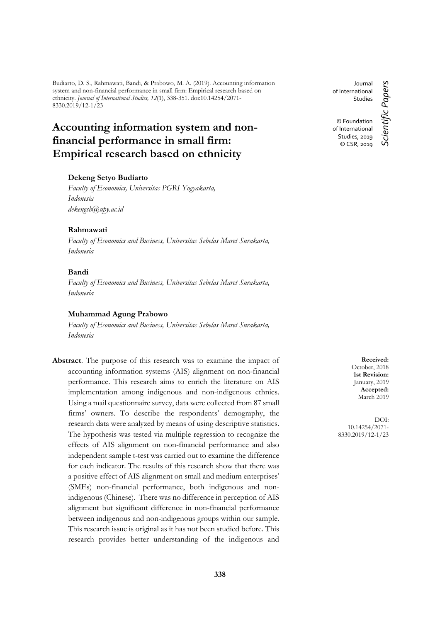Budiarto, D. S., Rahmawati, Bandi, & Prabowo, M. A. (2019). Accounting information system and non-financial performance in small firm: Empirical research based on ethnicity. *Journal of International Studies, 12*(1), 338-351. doi:10.14254/2071- 8330.2019/12-1/23

# **Accounting information system and nonfinancial performance in small firm: Empirical research based on ethnicity**

## **Dekeng Setyo Budiarto**

*Faculty of Economics, Universitas PGRI Yogyakarta, Indonesia dekengsb@upy.ac.id*

## **Rahmawati**

*Faculty of Economics and Business, Universitas Sebelas Maret Surakarta, Indonesia*

# **Bandi**

*Faculty of Economics and Business, Universitas Sebelas Maret Surakarta, Indonesia*

#### **Muhammad Agung Prabowo**

*Faculty of Economics and Business, Universitas Sebelas Maret Surakarta, Indonesia*

**Abstract**. The purpose of this research was to examine the impact of accounting information systems (AIS) alignment on non-financial performance. This research aims to enrich the literature on AIS implementation among indigenous and non-indigenous ethnics. Using a mail questionnaire survey, data were collected from 87 small firms' owners. To describe the respondents' demography, the research data were analyzed by means of using descriptive statistics. The hypothesis was tested via multiple regression to recognize the effects of AIS alignment on non-financial performance and also independent sample t-test was carried out to examine the difference for each indicator. The results of this research show that there was a positive effect of AIS alignment on small and medium enterprises' (SMEs) non-financial performance, both indigenous and nonindigenous (Chinese). There was no difference in perception of AIS alignment but significant difference in non-financial performance between indigenous and non-indigenous groups within our sample. This research issue is original as it has not been studied before. This research provides better understanding of the indigenous and

Journal of International Studies © Foundation of International

> Studies, 2019 © CSR, 2019

Scientific Papers *Scientific Papers*

**Received:** October, 2018 **1st Revision:** January, 2019 **Accepted:** March 2019

DOI: 10.14254/2071- 8330.2019/12-1/23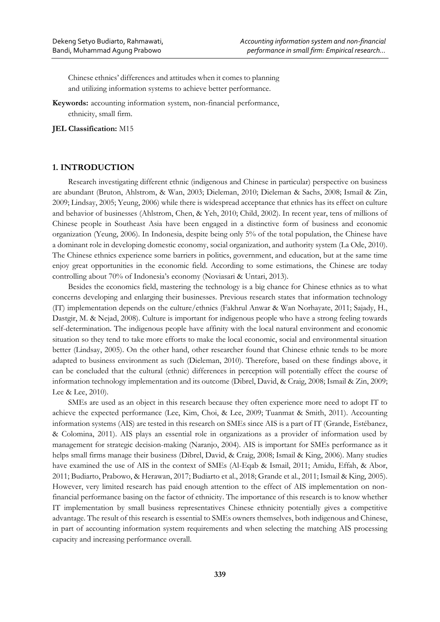Chinese ethnics' differences and attitudes when it comes to planning and utilizing information systems to achieve better performance.

**Keywords:** accounting information system, non-financial performance, ethnicity, small firm.

**JEL Classification:** M15

## **1. INTRODUCTION**

Research investigating different ethnic (indigenous and Chinese in particular) perspective on business are abundant (Bruton, Ahlstrom, & Wan, 2003; Dieleman, 2010; Dieleman & Sachs, 2008; Ismail & Zin, 2009; Lindsay, 2005; Yeung, 2006) while there is widespread acceptance that ethnics has its effect on culture and behavior of businesses (Ahlstrom, Chen, & Yeh, 2010; Child, 2002). In recent year, tens of millions of Chinese people in Southeast Asia have been engaged in a distinctive form of business and economic organization (Yeung, 2006). In Indonesia, despite being only 5% of the total population, the Chinese have a dominant role in developing domestic economy, social organization, and authority system (La Ode, 2010). The Chinese ethnics experience some barriers in politics, government, and education, but at the same time enjoy great opportunities in the economic field. According to some estimations, the Chinese are today controlling about 70% of Indonesia's economy (Noviasari & Untari, 2013).

Besides the economics field, mastering the technology is a big chance for Chinese ethnics as to what concerns developing and enlarging their businesses. Previous research states that information technology (IT) implementation depends on the culture/ethnics (Fakhrul Anwar & Wan Norhayate, 2011; Sajady, H., Dastgir, M. & Nejad, 2008). Culture is important for indigenous people who have a strong feeling towards self-determination. The indigenous people have affinity with the local natural environment and economic situation so they tend to take more efforts to make the local economic, social and environmental situation better (Lindsay, 2005). On the other hand, other researcher found that Chinese ethnic tends to be more adapted to business environment as such (Dieleman, 2010). Therefore, based on these findings above, it can be concluded that the cultural (ethnic) differences in perception will potentially effect the course of information technology implementation and its outcome (Dibrel, David, & Craig, 2008; Ismail & Zin, 2009; Lee & Lee, 2010).

SMEs are used as an object in this research because they often experience more need to adopt IT to achieve the expected performance (Lee, Kim, Choi, & Lee, 2009; Tuanmat & Smith, 2011). Accounting information systems (AIS) are tested in this research on SMEs since AIS is a part of IT (Grande, Estébanez, & Colomina, 2011). AIS plays an essential role in organizations as a provider of information used by management for strategic decision-making (Naranjo, 2004). AIS is important for SMEs performance as it helps small firms manage their business (Dibrel, David, & Craig, 2008; Ismail & King, 2006). Many studies have examined the use of AIS in the context of SMEs (Al-Eqab & Ismail, 2011; Amidu, Effah, & Abor, 2011; Budiarto, Prabowo, & Herawan, 2017; Budiarto et al., 2018; Grande et al., 2011; Ismail & King, 2005). However, very limited research has paid enough attention to the effect of AIS implementation on nonfinancial performance basing on the factor of ethnicity. The importance of this research is to know whether IT implementation by small business representatives Chinese ethnicity potentially gives a competitive advantage. The result of this research is essential to SMEs owners themselves, both indigenous and Chinese, in part of accounting information system requirements and when selecting the matching AIS processing capacity and increasing performance overall.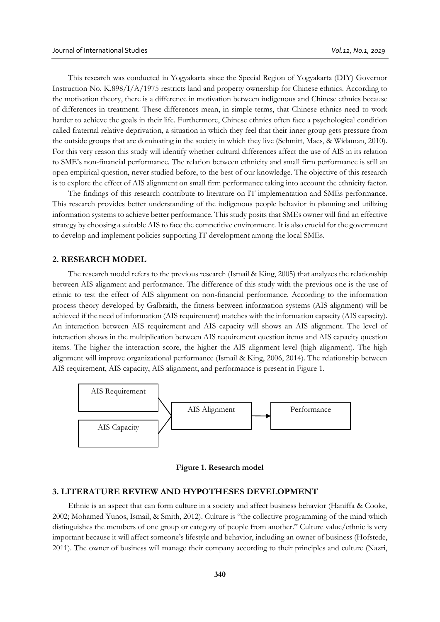This research was conducted in Yogyakarta since the Special Region of Yogyakarta (DIY) Governor Instruction No. K.898/I/A/1975 restricts land and property ownership for Chinese ethnics. According to the motivation theory, there is a difference in motivation between indigenous and Chinese ethnics because of differences in treatment. These differences mean, in simple terms, that Chinese ethnics need to work harder to achieve the goals in their life. Furthermore, Chinese ethnics often face a psychological condition called fraternal relative deprivation, a situation in which they feel that their inner group gets pressure from the outside groups that are dominating in the society in which they live (Schmitt, Maes, & Widaman, 2010). For this very reason this study will identify whether cultural differences affect the use of AIS in its relation to SME's non-financial performance. The relation between ethnicity and small firm performance is still an open empirical question, never studied before, to the best of our knowledge. The objective of this research is to explore the effect of AIS alignment on small firm performance taking into account the ethnicity factor.

The findings of this research contribute to literature on IT implementation and SMEs performance. This research provides better understanding of the indigenous people behavior in planning and utilizing information systems to achieve better performance. This study posits that SMEs owner will find an effective strategy by choosing a suitable AIS to face the competitive environment. It is also crucial for the government to develop and implement policies supporting IT development among the local SMEs.

## **2. RESEARCH MODEL**

The research model refers to the previous research (Ismail & King, 2005) that analyzes the relationship between AIS alignment and performance. The difference of this study with the previous one is the use of ethnic to test the effect of AIS alignment on non-financial performance. According to the information process theory developed by Galbraith, the fitness between information systems (AIS alignment) will be achieved if the need of information (AIS requirement) matches with the information capacity (AIS capacity). An interaction between AIS requirement and AIS capacity will shows an AIS alignment. The level of interaction shows in the multiplication between AIS requirement question items and AIS capacity question items. The higher the interaction score, the higher the AIS alignment level (high alignment). The high alignment will improve organizational performance (Ismail & King, 2006, 2014). The relationship between AIS requirement, AIS capacity, AIS alignment, and performance is present in Figure 1.





# **3. LITERATURE REVIEW AND HYPOTHESES DEVELOPMENT**

Ethnic is an aspect that can form culture in a society and affect business behavior (Haniffa & Cooke, 2002; Mohamed Yunos, Ismail, & Smith, 2012). Culture is "the collective programming of the mind which distinguishes the members of one group or category of people from another." Culture value/ethnic is very important because it will affect someone's lifestyle and behavior, including an owner of business (Hofstede, 2011). The owner of business will manage their company according to their principles and culture (Nazri,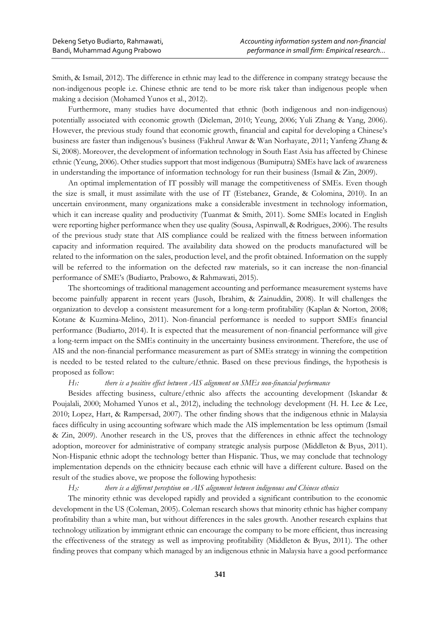Smith, & Ismail, 2012). The difference in ethnic may lead to the difference in company strategy because the non-indigenous people i.e. Chinese ethnic are tend to be more risk taker than indigenous people when making a decision (Mohamed Yunos et al., 2012).

Furthermore, many studies have documented that ethnic (both indigenous and non-indigenous) potentially associated with economic growth (Dieleman, 2010; Yeung, 2006; Yuli Zhang & Yang, 2006). However, the previous study found that economic growth, financial and capital for developing a Chinese's business are faster than indigenous's business (Fakhrul Anwar & Wan Norhayate, 2011; Yanfeng Zhang & Si, 2008). Moreover, the development of information technology in South East Asia has affected by Chinese ethnic (Yeung, 2006). Other studies support that most indigenous (Bumiputra) SMEs have lack of awareness in understanding the importance of information technology for run their business (Ismail & Zin, 2009).

An optimal implementation of IT possibly will manage the competitiveness of SMEs. Even though the size is small, it must assimilate with the use of IT (Estebanez, Grande, & Colomina, 2010). In an uncertain environment, many organizations make a considerable investment in technology information, which it can increase quality and productivity (Tuanmat & Smith, 2011). Some SMEs located in English were reporting higher performance when they use quality (Sousa, Aspinwall, & Rodrigues, 2006). The results of the previous study state that AIS compliance could be realized with the fitness between information capacity and information required. The availability data showed on the products manufactured will be related to the information on the sales, production level, and the profit obtained. Information on the supply will be referred to the information on the defected raw materials, so it can increase the non-financial performance of SME's (Budiarto, Prabowo, & Rahmawati, 2015).

The shortcomings of traditional management accounting and performance measurement systems have become painfully apparent in recent years (Jusoh, Ibrahim, & Zainuddin, 2008). It will challenges the organization to develop a consistent measurement for a long-term profitability (Kaplan & Norton, 2008; Kotane & Kuzmina-Melino, 2011). Non-financial performance is needed to support SMEs financial performance (Budiarto, 2014). It is expected that the measurement of non-financial performance will give a long-term impact on the SMEs continuity in the uncertainty business environment. Therefore, the use of AIS and the non-financial performance measurement as part of SMEs strategy in winning the competition is needed to be tested related to the culture/ethnic. Based on these previous findings, the hypothesis is proposed as follow:

*H1: there is a positive effect between AIS alignment on SMEs non-financial performance* 

Besides affecting business, culture/ethnic also affects the accounting development (Iskandar & Poujalali, 2000; Mohamed Yunos et al., 2012), including the technology development (H. H. Lee & Lee, 2010; Lopez, Hart, & Rampersad, 2007). The other finding shows that the indigenous ethnic in Malaysia faces difficulty in using accounting software which made the AIS implementation be less optimum (Ismail & Zin, 2009). Another research in the US, proves that the differences in ethnic affect the technology adoption, moreover for administrative of company strategic analysis purpose (Middleton & Byus, 2011). Non-Hispanic ethnic adopt the technology better than Hispanic. Thus, we may conclude that technology implementation depends on the ethnicity because each ethnic will have a different culture. Based on the result of the studies above, we propose the following hypothesis:

*H2: there is a different perception on AIS alignment between indigenous and Chinese ethnics*

The minority ethnic was developed rapidly and provided a significant contribution to the economic development in the US (Coleman, 2005). Coleman research shows that minority ethnic has higher company profitability than a white man, but without differences in the sales growth. Another research explains that technology utilization by immigrant ethnic can encourage the company to be more efficient, thus increasing the effectiveness of the strategy as well as improving profitability (Middleton & Byus, 2011). The other finding proves that company which managed by an indigenous ethnic in Malaysia have a good performance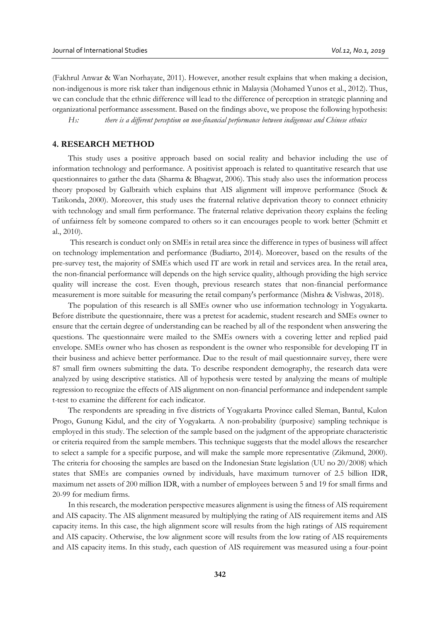(Fakhrul Anwar & Wan Norhayate, 2011). However, another result explains that when making a decision, non-indigenous is more risk taker than indigenous ethnic in Malaysia (Mohamed Yunos et al., 2012). Thus, we can conclude that the ethnic difference will lead to the difference of perception in strategic planning and organizational performance assessment. Based on the findings above, we propose the following hypothesis:

*H3: there is a different perception on non-financial performance between indigenous and Chinese ethnics*

## **4. RESEARCH METHOD**

This study uses a positive approach based on social reality and behavior including the use of information technology and performance. A positivist approach is related to quantitative research that use questionnaires to gather the data (Sharma & Bhagwat, 2006). This study also uses the information process theory proposed by Galbraith which explains that AIS alignment will improve performance (Stock & Tatikonda, 2000). Moreover, this study uses the fraternal relative deprivation theory to connect ethnicity with technology and small firm performance. The fraternal relative deprivation theory explains the feeling of unfairness felt by someone compared to others so it can encourages people to work better (Schmitt et al., 2010).

This research is conduct only on SMEs in retail area since the difference in types of business will affect on technology implementation and performance (Budiarto, 2014). Moreover, based on the results of the pre-survey test, the majority of SMEs which used IT are work in retail and services area. In the retail area, the non-financial performance will depends on the high service quality, although providing the high service quality will increase the cost. Even though, previous research states that non-financial performance measurement is more suitable for measuring the retail company's performance (Mishra & Vishwas, 2018).

The population of this research is all SMEs owner who use information technology in Yogyakarta. Before distribute the questionnaire, there was a pretest for academic, student research and SMEs owner to ensure that the certain degree of understanding can be reached by all of the respondent when answering the questions. The questionnaire were mailed to the SMEs owners with a covering letter and replied paid envelope. SMEs owner who has chosen as respondent is the owner who responsible for developing IT in their business and achieve better performance. Due to the result of mail questionnaire survey, there were 87 small firm owners submitting the data. To describe respondent demography, the research data were analyzed by using descriptive statistics. All of hypothesis were tested by analyzing the means of multiple regression to recognize the effects of AIS alignment on non-financial performance and independent sample t-test to examine the different for each indicator.

The respondents are spreading in five districts of Yogyakarta Province called Sleman, Bantul, Kulon Progo, Gunung Kidul, and the city of Yogyakarta. A non-probability (purposive) sampling technique is employed in this study. The selection of the sample based on the judgment of the appropriate characteristic or criteria required from the sample members. This technique suggests that the model allows the researcher to select a sample for a specific purpose, and will make the sample more representative (Zikmund, 2000). The criteria for choosing the samples are based on the Indonesian State legislation (UU no 20/2008) which states that SMEs are companies owned by individuals, have maximum turnover of 2.5 billion IDR, maximum net assets of 200 million IDR, with a number of employees between 5 and 19 for small firms and 20-99 for medium firms.

In this research, the moderation perspective measures alignment is using the fitness of AIS requirement and AIS capacity. The AIS alignment measured by multiplying the rating of AIS requirement items and AIS capacity items. In this case, the high alignment score will results from the high ratings of AIS requirement and AIS capacity. Otherwise, the low alignment score will results from the low rating of AIS requirements and AIS capacity items. In this study, each question of AIS requirement was measured using a four-point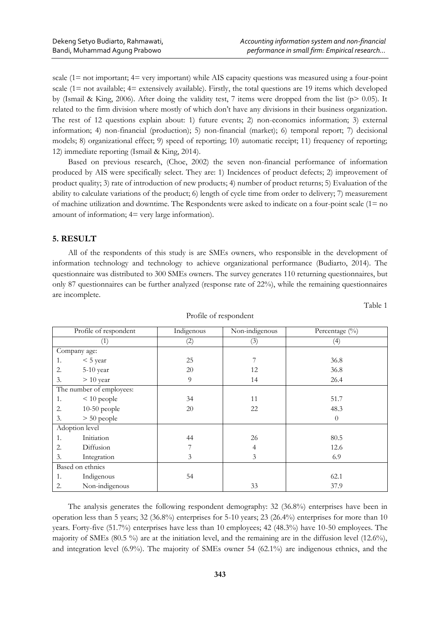scale (1= not important; 4= very important) while AIS capacity questions was measured using a four-point scale (1= not available; 4= extensively available). Firstly, the total questions are 19 items which developed by (Ismail & King, 2006). After doing the validity test, 7 items were dropped from the list ( $p$ > 0.05). It related to the firm division where mostly of which don't have any divisions in their business organization. The rest of 12 questions explain about: 1) future events; 2) non-economics information; 3) external information; 4) non-financial (production); 5) non-financial (market); 6) temporal report; 7) decisional models; 8) organizational effect; 9) speed of reporting; 10) automatic receipt; 11) frequency of reporting; 12) immediate reporting (Ismail & King, 2014).

Based on previous research, (Choe, 2002) the seven non-financial performance of information produced by AIS were specifically select. They are: 1) Incidences of product defects; 2) improvement of product quality; 3) rate of introduction of new products; 4) number of product returns; 5) Evaluation of the ability to calculate variations of the product; 6) length of cycle time from order to delivery; 7) measurement of machine utilization and downtime. The Respondents were asked to indicate on a four-point scale (1= no amount of information; 4= very large information).

# **5. RESULT**

All of the respondents of this study is are SMEs owners, who responsible in the development of information technology and technology to achieve organizational performance (Budiarto, 2014). The questionnaire was distributed to 300 SMEs owners. The survey generates 110 returning questionnaires, but only 87 questionnaires can be further analyzed (response rate of 22%), while the remaining questionnaires are incomplete.

Table 1

| Profile of respondent    | Indigenous | Non-indigenous | Percentage (%)   |
|--------------------------|------------|----------------|------------------|
| (1)                      | (2)        | (3)            | $\left(4\right)$ |
| Company age:             |            |                |                  |
| $<$ 5 year<br>1.         | 25         |                | 36.8             |
| 5-10 year<br>2.          | 20         | 12             | 36.8             |
| $> 10$ year<br>3.        | 9          | 14             | 26.4             |
| The number of employees: |            |                |                  |
| $< 10$ people<br>1.      | 34         | 11             | 51.7             |
| $10-50$ people<br>2.     | 20         | 22             | 48.3             |
| $> 50$ people<br>3.      |            |                | $\theta$         |
| Adoption level           |            |                |                  |
| Initiation<br>1.         | 44         | 26             | 80.5             |
| Diffusion<br>2.          | 7          | 4              | 12.6             |
| 3.<br>Integration        | 3          | 3              | 6.9              |
| Based on ethnics         |            |                |                  |
| 1.<br>Indigenous         | 54         |                | 62.1             |
| Non-indigenous<br>2.     |            | 33             | 37.9             |

Profile of respondent

The analysis generates the following respondent demography: 32 (36.8%) enterprises have been in operation less than 5 years; 32 (36.8%) enterprises for 5-10 years; 23 (26.4%) enterprises for more than 10 years. Forty-five (51.7%) enterprises have less than 10 employees; 42 (48.3%) have 10-50 employees. The majority of SMEs (80.5 %) are at the initiation level, and the remaining are in the diffusion level (12.6%), and integration level (6.9%). The majority of SMEs owner 54 (62.1%) are indigenous ethnics, and the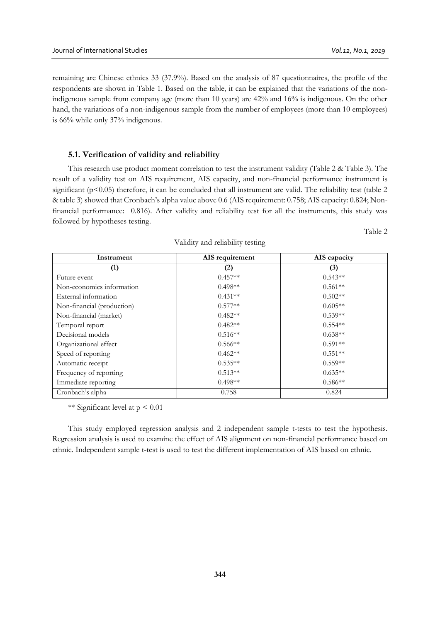remaining are Chinese ethnics 33 (37.9%). Based on the analysis of 87 questionnaires, the profile of the respondents are shown in Table 1. Based on the table, it can be explained that the variations of the nonindigenous sample from company age (more than 10 years) are 42% and 16% is indigenous. On the other hand, the variations of a non-indigenous sample from the number of employees (more than 10 employees) is 66% while only 37% indigenous.

#### **5.1. Verification of validity and reliability**

This research use product moment correlation to test the instrument validity (Table 2 & Table 3). The result of a validity test on AIS requirement, AIS capacity, and non-financial performance instrument is significant (p<0.05) therefore, it can be concluded that all instrument are valid. The reliability test (table 2 & table 3) showed that Cronbach's alpha value above 0.6 (AIS requirement: 0.758; AIS capacity: 0.824; Nonfinancial performance: 0.816). After validity and reliability test for all the instruments, this study was followed by hypotheses testing.

| Instrument                 | AIS requirement   | AIS capacity |  |  |
|----------------------------|-------------------|--------------|--|--|
| (1)                        | $\left( 2\right)$ | (3)          |  |  |
| Future event               | $0.457**$         | $0.543**$    |  |  |
| Non-economics information  | $0.498**$         | $0.561**$    |  |  |
| External information       | $0.431**$         | $0.502**$    |  |  |
| Non-financial (production) | $0.577**$         | $0.605**$    |  |  |
| Non-financial (market)     | $0.482**$         | $0.539**$    |  |  |
| Temporal report            | $0.482**$         | $0.554**$    |  |  |
| Decisional models          | $0.516**$         | $0.638**$    |  |  |
| Organizational effect      | $0.566**$         | $0.591**$    |  |  |
| Speed of reporting         | $0.462**$         | $0.551**$    |  |  |
| Automatic receipt          | $0.535**$         | $0.559**$    |  |  |
| Frequency of reporting     | $0.513**$         | $0.635**$    |  |  |
| Immediate reporting        | $0.498**$         | $0.586**$    |  |  |
| Cronbach's alpha           | 0.758             | 0.824        |  |  |

Validity and reliability testing

\*\* Significant level at  $p < 0.01$ 

This study employed regression analysis and 2 independent sample t-tests to test the hypothesis. Regression analysis is used to examine the effect of AIS alignment on non-financial performance based on ethnic. Independent sample t-test is used to test the different implementation of AIS based on ethnic.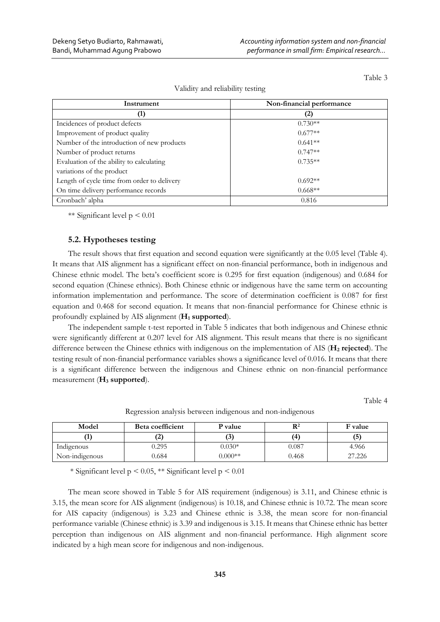| Instrument                                  | Non-financial performance |
|---------------------------------------------|---------------------------|
| $\bf{1)}$                                   | (2)                       |
| Incidences of product defects               | $0.730**$                 |
| Improvement of product quality              | $0.677**$                 |
| Number of the introduction of new products  | $0.641**$                 |
| Number of product returns                   | $0.747**$                 |
| Evaluation of the ability to calculating    | $0.735**$                 |
| variations of the product                   |                           |
| Length of cycle time from order to delivery | $0.692**$                 |
| On time delivery performance records        | $0.668**$                 |
| Cronbach' alpha                             | 0.816                     |

Validity and reliability testing

\*\* Significant level  $p \le 0.01$ 

## **5.2. Hypotheses testing**

The result shows that first equation and second equation were significantly at the 0.05 level (Table 4). It means that AIS alignment has a significant effect on non-financial performance, both in indigenous and Chinese ethnic model. The beta's coefficient score is 0.295 for first equation (indigenous) and 0.684 for second equation (Chinese ethnics). Both Chinese ethnic or indigenous have the same term on accounting information implementation and performance. The score of determination coefficient is 0.087 for first equation and 0.468 for second equation. It means that non-financial performance for Chinese ethnic is profoundly explained by AIS alignment (**H<sup>1</sup> supported**).

The independent sample t-test reported in Table 5 indicates that both indigenous and Chinese ethnic were significantly different at 0.207 level for AIS alignment. This result means that there is no significant difference between the Chinese ethnics with indigenous on the implementation of AIS (**H<sup>2</sup> rejected**). The testing result of non-financial performance variables shows a significance level of 0.016. It means that there is a significant difference between the indigenous and Chinese ethnic on non-financial performance measurement (**H<sup>3</sup> supported**).

Table 4

| Model          | Beta coefficient | <b>P</b> value | $\mathbf{R}^2$ | F value |
|----------------|------------------|----------------|----------------|---------|
|                | 4                |                | (4             | (5)     |
| Indigenous     | 9.295            | $0.030*$       | 0.087          | 4.966   |
| Non-indigenous | 0.684            | $0.000**$      | 0.468          | 27.226  |

Regression analysis between indigenous and non-indigenous

\* Significant level p < 0.05, \*\* Significant level p < 0.01

The mean score showed in Table 5 for AIS requirement (indigenous) is 3.11, and Chinese ethnic is 3.15, the mean score for AIS alignment (indigenous) is 10.18, and Chinese ethnic is 10.72. The mean score for AIS capacity (indigenous) is 3.23 and Chinese ethnic is 3.38, the mean score for non-financial performance variable (Chinese ethnic) is 3.39 and indigenous is 3.15. It means that Chinese ethnic has better perception than indigenous on AIS alignment and non-financial performance. High alignment score indicated by a high mean score for indigenous and non-indigenous.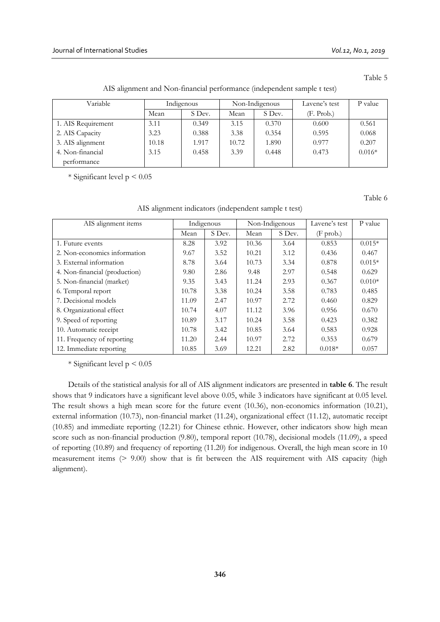| The anguinent and I four imaneial performance (maependent sample t test) |            |        |                |        |               |          |  |  |
|--------------------------------------------------------------------------|------------|--------|----------------|--------|---------------|----------|--|--|
| Variable                                                                 | Indigenous |        | Non-Indigenous |        | Lavene's test | P value  |  |  |
|                                                                          | Mean       | S Dev. | Mean           | S Dev. | (F. Prob.)    |          |  |  |
| 1. AIS Requirement                                                       | 3.11       | 0.349  | 3.15           | 0.370  | 0.600         | 0.561    |  |  |
| 2. AIS Capacity                                                          | 3.23       | 0.388  | 3.38           | 0.354  | 0.595         | 0.068    |  |  |
| 3. AIS alignment                                                         | 10.18      | 1.917  | 10.72          | 1.890  | 0.977         | 0.207    |  |  |
| 4. Non-financial                                                         | 3.15       | 0.458  | 3.39           | 0.448  | 0.473         | $0.016*$ |  |  |
| performance                                                              |            |        |                |        |               |          |  |  |

AIS alignment and Non-financial performance (independent sample t test)

\* Significant level p < 0.05

Table 6

| AIS alignment items           | Indigenous |        | Non-Indigenous |        | Lavene's test      | P value  |
|-------------------------------|------------|--------|----------------|--------|--------------------|----------|
|                               | Mean       | S Dev. | Mean           | S Dev. | $(F \text{prob.})$ |          |
| 1. Future events              | 8.28       | 3.92   | 10.36          | 3.64   | 0.853              | $0.015*$ |
| 2. Non-economics information  | 9.67       | 3.52   | 10.21          | 3.12   | 0.436              | 0.467    |
| 3. External information       | 8.78       | 3.64   | 10.73          | 3.34   | 0.878              | $0.015*$ |
| 4. Non-financial (production) | 9.80       | 2.86   | 9.48           | 2.97   | 0.548              | 0.629    |
| 5. Non-financial (market)     | 9.35       | 3.43   | 11.24          | 2.93   | 0.367              | $0.010*$ |
| 6. Temporal report            | 10.78      | 3.38   | 10.24          | 3.58   | 0.783              | 0.485    |
| 7. Decisional models          | 11.09      | 2.47   | 10.97          | 2.72   | 0.460              | 0.829    |
| 8. Organizational effect      | 10.74      | 4.07   | 11.12          | 3.96   | 0.956              | 0.670    |
| 9. Speed of reporting         | 10.89      | 3.17   | 10.24          | 3.58   | 0.423              | 0.382    |
| 10. Automatic receipt         | 10.78      | 3.42   | 10.85          | 3.64   | 0.583              | 0.928    |
| 11. Frequency of reporting    | 11.20      | 2.44   | 10.97          | 2.72   | 0.353              | 0.679    |
| 12. Immediate reporting       | 10.85      | 3.69   | 12.21          | 2.82   | $0.018*$           | 0.057    |

AIS alignment indicators (independent sample t test)

\* Significant level  $p < 0.05$ 

Details of the statistical analysis for all of AIS alignment indicators are presented in **table 6**. The result shows that 9 indicators have a significant level above 0.05, while 3 indicators have significant at 0.05 level. The result shows a high mean score for the future event (10.36), non-economics information (10.21), external information (10.73), non-financial market (11.24), organizational effect (11.12), automatic receipt (10.85) and immediate reporting (12.21) for Chinese ethnic. However, other indicators show high mean score such as non-financial production (9.80), temporal report (10.78), decisional models (11.09), a speed of reporting (10.89) and frequency of reporting (11.20) for indigenous. Overall, the high mean score in 10 measurement items (> 9.00) show that is fit between the AIS requirement with AIS capacity (high alignment).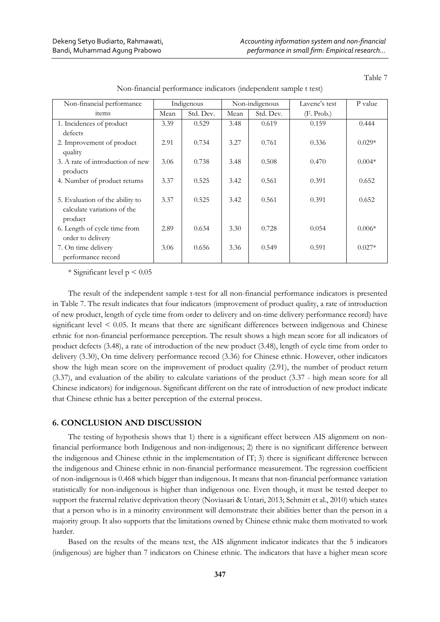| Non-financial performance                                                 | Indigenous |           | Non-indigenous |           | Lavene's test | P value  |
|---------------------------------------------------------------------------|------------|-----------|----------------|-----------|---------------|----------|
| items                                                                     | Mean       | Std. Dev. | Mean           | Std. Dev. | (F. Prob.)    |          |
| 1. Incidences of product                                                  | 3.39       | 0.529     | 3.48           | 0.619     | 0.159         | 0.444    |
| defects                                                                   |            |           |                |           |               |          |
| 2. Improvement of product<br>quality                                      | 2.91       | 0.734     | 3.27           | 0.761     | 0.336         | $0.029*$ |
| 3. A rate of introduction of new<br>products                              | 3.06       | 0.738     | 3.48           | 0.508     | 0.470         | $0.004*$ |
| 4. Number of product returns                                              | 3.37       | 0.525     | 3.42           | 0.561     | 0.391         | 0.652    |
| 5. Evaluation of the ability to<br>calculate variations of the<br>product | 3.37       | 0.525     | 3.42           | 0.561     | 0.391         | 0.652    |
| 6. Length of cycle time from<br>order to delivery                         | 2.89       | 0.634     | 3.30           | 0.728     | 0.054         | $0.006*$ |
| 7. On time delivery<br>performance record                                 | 3.06       | 0.656     | 3.36           | 0.549     | 0.591         | $0.027*$ |

Non-financial performance indicators (independent sample t test)

 $*$  Significant level  $p < 0.05$ 

The result of the independent sample t-test for all non-financial performance indicators is presented in Table 7. The result indicates that four indicators (improvement of product quality, a rate of introduction of new product, length of cycle time from order to delivery and on-time delivery performance record) have significant level < 0.05. It means that there are significant differences between indigenous and Chinese ethnic for non-financial performance perception. The result shows a high mean score for all indicators of product defects (3.48), a rate of introduction of the new product (3.48), length of cycle time from order to delivery (3.30), On time delivery performance record (3.36) for Chinese ethnic. However, other indicators show the high mean score on the improvement of product quality (2.91), the number of product return (3.37), and evaluation of the ability to calculate variations of the product (3.37 - high mean score for all Chinese indicators) for indigenous. Significant different on the rate of introduction of new product indicate that Chinese ethnic has a better perception of the external process.

#### **6. CONCLUSION AND DISCUSSION**

The testing of hypothesis shows that 1) there is a significant effect between AIS alignment on nonfinancial performance both Indigenous and non-indigenous; 2) there is no significant difference between the indigenous and Chinese ethnic in the implementation of IT; 3) there is significant difference between the indigenous and Chinese ethnic in non-financial performance measurement. The regression coefficient of non-indigenous is 0.468 which bigger than indigenous. It means that non-financial performance variation statistically for non-indigenous is higher than indigenous one. Even though, it must be tested deeper to support the fraternal relative deprivation theory (Noviasari & Untari, 2013; Schmitt et al., 2010) which states that a person who is in a minority environment will demonstrate their abilities better than the person in a majority group. It also supports that the limitations owned by Chinese ethnic make them motivated to work harder.

Based on the results of the means test, the AIS alignment indicator indicates that the 5 indicators (indigenous) are higher than 7 indicators on Chinese ethnic. The indicators that have a higher mean score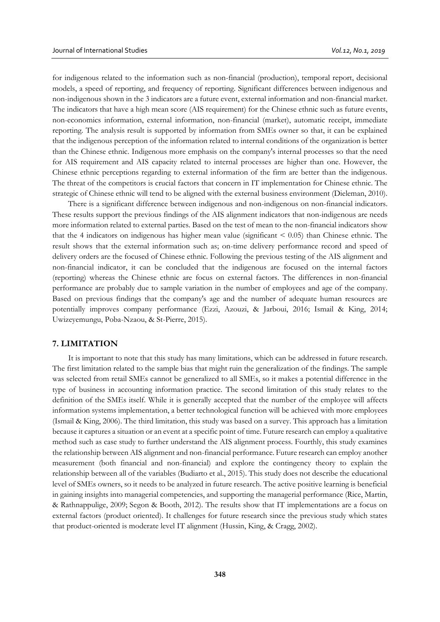for indigenous related to the information such as non-financial (production), temporal report, decisional models, a speed of reporting, and frequency of reporting. Significant differences between indigenous and non-indigenous shown in the 3 indicators are a future event, external information and non-financial market. The indicators that have a high mean score (AIS requirement) for the Chinese ethnic such as future events, non-economics information, external information, non-financial (market), automatic receipt, immediate reporting. The analysis result is supported by information from SMEs owner so that, it can be explained that the indigenous perception of the information related to internal conditions of the organization is better than the Chinese ethnic. Indigenous more emphasis on the company's internal processes so that the need for AIS requirement and AIS capacity related to internal processes are higher than one. However, the Chinese ethnic perceptions regarding to external information of the firm are better than the indigenous. The threat of the competitors is crucial factors that concern in IT implementation for Chinese ethnic. The strategic of Chinese ethnic will tend to be aligned with the external business environment (Dieleman, 2010).

There is a significant difference between indigenous and non-indigenous on non-financial indicators. These results support the previous findings of the AIS alignment indicators that non-indigenous are needs more information related to external parties. Based on the test of mean to the non-financial indicators show that the 4 indicators on indigenous has higher mean value (significant < 0.05) than Chinese ethnic. The result shows that the external information such as; on-time delivery performance record and speed of delivery orders are the focused of Chinese ethnic. Following the previous testing of the AIS alignment and non-financial indicator, it can be concluded that the indigenous are focused on the internal factors (reporting) whereas the Chinese ethnic are focus on external factors. The differences in non-financial performance are probably due to sample variation in the number of employees and age of the company. Based on previous findings that the company's age and the number of adequate human resources are potentially improves company performance (Ezzi, Azouzi, & Jarboui, 2016; Ismail & King, 2014; Uwizeyemungu, Poba-Nzaou, & St-Pierre, 2015).

#### **7. LIMITATION**

It is important to note that this study has many limitations, which can be addressed in future research. The first limitation related to the sample bias that might ruin the generalization of the findings. The sample was selected from retail SMEs cannot be generalized to all SMEs, so it makes a potential difference in the type of business in accounting information practice. The second limitation of this study relates to the definition of the SMEs itself. While it is generally accepted that the number of the employee will affects information systems implementation, a better technological function will be achieved with more employees (Ismail & King, 2006). The third limitation, this study was based on a survey. This approach has a limitation because it captures a situation or an event at a specific point of time. Future research can employ a qualitative method such as case study to further understand the AIS alignment process. Fourthly, this study examines the relationship between AIS alignment and non-financial performance. Future research can employ another measurement (both financial and non-financial) and explore the contingency theory to explain the relationship between all of the variables (Budiarto et al., 2015). This study does not describe the educational level of SMEs owners, so it needs to be analyzed in future research. The active positive learning is beneficial in gaining insights into managerial competencies, and supporting the managerial performance (Rice, Martin, & Rathnappulige, 2009; Segon & Booth, 2012). The results show that IT implementations are a focus on external factors (product oriented). It challenges for future research since the previous study which states that product-oriented is moderate level IT alignment (Hussin, King, & Cragg, 2002).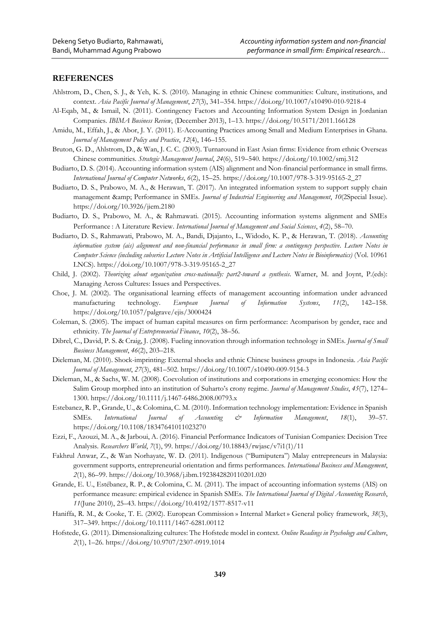## **REFERENCES**

- Ahlstrom, D., Chen, S. J., & Yeh, K. S. (2010). Managing in ethnic Chinese communities: Culture, institutions, and context. *Asia Pacific Journal of Management*, *27*(3), 341–354. https://doi.org/10.1007/s10490-010-9218-4
- Al-Eqab, M., & Ismail, N. (2011). Contingency Factors and Accounting Information System Design in Jordanian Companies. *IBIMA Business Review*, (December 2013), 1–13. https://doi.org/10.5171/2011.166128
- Amidu, M., Effah, J., & Abor, J. Y. (2011). E-Accounting Practices among Small and Medium Enterprises in Ghana. *Journal of Management Policy and Practice*, *12*(4), 146–155.
- Bruton, G. D., Ahlstrom, D., & Wan, J. C. C. (2003). Turnaround in East Asian firms: Evidence from ethnic Overseas Chinese communities. *Strategic Management Journal*, *24*(6), 519–540. https://doi.org/10.1002/smj.312
- Budiarto, D. S. (2014). Accounting information system (AIS) alignment and Non-financial performance in small firms. *International Journal of Computer Networks*, *6*(2), 15–25. https://doi.org/10.1007/978-3-319-95165-2\_27
- Budiarto, D. S., Prabowo, M. A., & Herawan, T. (2017). An integrated information system to support supply chain management & amp; Performance in SMEs. *Journal of Industrial Engineering and Management*, *10*(2Special Issue). https://doi.org/10.3926/jiem.2180
- Budiarto, D. S., Prabowo, M. A., & Rahmawati. (2015). Accounting information systems alignment and SMEs Performance : A Literature Review. *International Journal of Management and Social Sciences*, *4*(2), 58–70.
- Budiarto, D. S., Rahmawati, Prabowo, M. A., Bandi, Djajanto, L., Widodo, K. P., & Herawan, T. (2018). *Accounting information system (ais) alignment and non-financial performance in small firm: a contingency perspective*. *Lecture Notes in Computer Science (including subseries Lecture Notes in Artificial Intelligence and Lecture Notes in Bioinformatics)* (Vol. 10961 LNCS). https://doi.org/10.1007/978-3-319-95165-2\_27
- Child, J. (2002). *Theorizing about organization cross-nationally: part2-toward a synthesis*. Warner, M. and Joynt, P.(eds): Managing Across Cultures: Issues and Perspectives.
- Choe, J. M. (2002). The organisational learning effects of management accounting information under advanced manufacturing technology. *European Journal of Information Systems*, *11*(2), 142–158. https://doi.org/10.1057/palgrave/ejis/3000424
- Coleman, S. (2005). The impact of human capital measures on firm performance: Acomparison by gender, race and ethnicity. *The Journal of Entrepreneurial Finance*, *10*(2), 38–56.
- Dibrel, C., David, P. S. & Craig, J. (2008). Fueling innovation through information technology in SMEs. *Journal of Small Business Management*, *46*(2), 203–218.
- Dieleman, M. (2010). Shock-imprinting: External shocks and ethnic Chinese business groups in Indonesia. *Asia Pacific Journal of Management*, *27*(3), 481–502. https://doi.org/10.1007/s10490-009-9154-3
- Dieleman, M., & Sachs, W. M. (2008). Coevolution of institutions and corporations in emerging economies: How the Salim Group morphed into an institution of Suharto's crony regime. *Journal of Management Studies*, *45*(7), 1274– 1300. https://doi.org/10.1111/j.1467-6486.2008.00793.x
- Estebanez, R. P., Grande, U., & Colomina, C. M. (2010). Information technology implementation: Evidence in Spanish SMEs. *International Journal of Accounting & Information Management*, *18*(1), 39–57. https://doi.org/10.1108/18347641011023270
- Ezzi, F., Azouzi, M. A., & Jarboui, A. (2016). Financial Performance Indicators of Tunisian Companies: Decision Tree Analysis. *Researchers World*, *7*(1), 99. https://doi.org/10.18843/rwjasc/v7i1(1)/11
- Fakhrul Anwar, Z., & Wan Norhayate, W. D. (2011). Indigenous ("Bumiputera") Malay entrepreneurs in Malaysia: government supports, entrepreneurial orientation and firms performances. *International Business and Management*, *2*(1), 86–99. https://doi.org/10.3968/j.ibm.1923842820110201.020
- Grande, E. U., Estébanez, R. P., & Colomina, C. M. (2011). The impact of accounting information systems (AIS) on performance measure: empirical evidence in Spanish SMEs. *The International Journal of Digital Accounting Research*, *11*(June 2010), 25–43. https://doi.org/10.4192/1577-8517-v11
- Haniffa, R. M., & Cooke, T. E. (2002). European Commission » Internal Market » General policy framework, *38*(3), 317–349. https://doi.org/10.1111/1467-6281.00112
- Hofstede, G. (2011). Dimensionalizing cultures: The Hofstede model in context. *Online Readings in Psychology and Culture*, *2*(1), 1–26. https://doi.org/10.9707/2307-0919.1014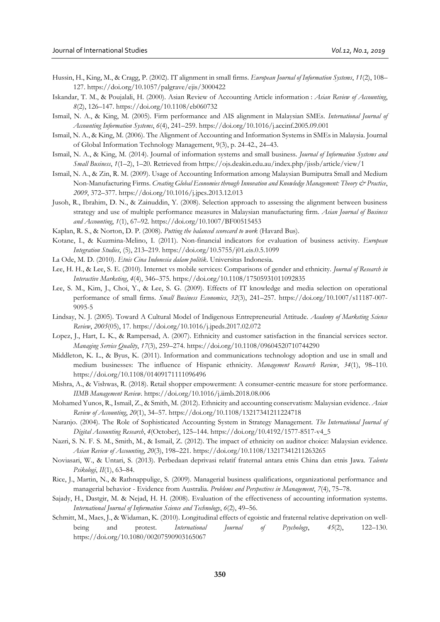- Hussin, H., King, M., & Cragg, P. (2002). IT alignment in small firms. *European Journal of Information Systems*, *11*(2), 108– 127. https://doi.org/10.1057/palgrave/ejis/3000422
- Iskandar, T. M., & Poujalali, H. (2000). Asian Review of Accounting Article information : *Asian Review of Accounting*, *8*(2), 126–147. https://doi.org/10.1108/eb060732
- Ismail, N. A., & King, M. (2005). Firm performance and AIS alignment in Malaysian SMEs. *International Journal of Accounting Information Systems*, *6*(4), 241–259. https://doi.org/10.1016/j.accinf.2005.09.001
- Ismail, N. A., & King, M. (2006). The Alignment of Accounting and Information Systems in SMEs in Malaysia. Journal of Global Information Technology Management, 9(3), p. 24-42., 24–43.
- Ismail, N. A., & King, M. (2014). Journal of information systems and small business. *Journal of Information Systems and Small Business*, *1*(1–2), 1–20. Retrieved from https://ojs.deakin.edu.au/index.php/jissb/article/view/1
- Ismail, N. A., & Zin, R. M. (2009). Usage of Accounting Information among Malaysian Bumiputra Small and Medium Non-Manufacturing Firms. *Creating Global Economies through Innovation and Knowledge Management: Theory & Practice*, *2009*, 372–377. https://doi.org/10.1016/j.jpcs.2013.12.013
- Jusoh, R., Ibrahim, D. N., & Zainuddin, Y. (2008). Selection approach to assessing the alignment between business strategy and use of multiple performance measures in Malaysian manufacturing firm. *Asian Journal of Business and Accounting*, *1*(1), 67–92. https://doi.org/10.1007/BF00515453
- Kaplan, R. S., & Norton, D. P. (2008). *Putting the balanced scorecard to work* (Havard Bus).
- Kotane, I., & Kuzmina-Melino, I. (2011). Non-financial indicators for evaluation of business activity. *European Integration Studies*, (5), 213–219. https://doi.org/10.5755/j01.eis.0.5.1099
- La Ode, M. D. (2010). *Etnis Cina Indonesia dalam politik*. Universitas Indonesia.
- Lee, H. H., & Lee, S. E. (2010). Internet vs mobile services: Comparisons of gender and ethnicity. *Journal of Research in Interactive Marketing*, *4*(4), 346–375. https://doi.org/10.1108/17505931011092835
- Lee, S. M., Kim, J., Choi, Y., & Lee, S. G. (2009). Effects of IT knowledge and media selection on operational performance of small firms. *Small Business Economics*, *32*(3), 241–257. https://doi.org/10.1007/s11187-007- 9095-5
- Lindsay, N. J. (2005). Toward A Cultural Model of Indigenous Entrepreneurial Attitude. *Academy of Marketing Science Review*, *2005*(05), 17. https://doi.org/10.1016/j.jpeds.2017.02.072
- Lopez, J., Hart, L. K., & Rampersad, A. (2007). Ethnicity and customer satisfaction in the financial services sector. *Managing Service Quality*, *17*(3), 259–274. https://doi.org/10.1108/09604520710744290
- Middleton, K. L., & Byus, K. (2011). Information and communications technology adoption and use in small and medium businesses: The influence of Hispanic ethnicity. *Management Research Review*, *34*(1), 98–110. https://doi.org/10.1108/01409171111096496
- Mishra, A., & Vishwas, R. (2018). Retail shopper empowerment: A consumer-centric measure for store performance. *IIMB Management Review*. https://doi.org/10.1016/j.iimb.2018.08.006
- Mohamed Yunos, R., Ismail, Z., & Smith, M. (2012). Ethnicity and accounting conservatism: Malaysian evidence. *Asian Review of Accounting*, *20*(1), 34–57. https://doi.org/10.1108/13217341211224718
- Naranjo. (2004). The Role of Sophisticated Accounting System in Strategy Management. *The International Journal of Digital Accounting Research*, *4*(October), 125–144. https://doi.org/10.4192/1577-8517-v4\_5
- Nazri, S. N. F. S. M., Smith, M., & Ismail, Z. (2012). The impact of ethnicity on auditor choice: Malaysian evidence. *Asian Review of Accounting*, *20*(3), 198–221. https://doi.org/10.1108/13217341211263265
- Noviasari, W., & Untari, S. (2013). Perbedaan deprivasi relatif fraternal antara etnis China dan etnis Jawa. *Talenta Psikologi*, *II*(1), 63–84.
- Rice, J., Martin, N., & Rathnappulige, S. (2009). Managerial business qualifications, organizational performance and managerial behavior - Evidence from Australia. *Problems and Perspectives in Management*, *7*(4), 75–78.
- Sajady, H., Dastgir, M. & Nejad, H. H. (2008). Evaluation of the effectiveness of accounting information systems. *International Journal of Information Science and Technology*, *6*(2), 49–56.
- Schmitt, M., Maes, J., & Widaman, K. (2010). Longitudinal effects of egoistic and fraternal relative deprivation on wellbeing and protest. *International Journal of Psychology*, *45*(2), 122–130. https://doi.org/10.1080/00207590903165067